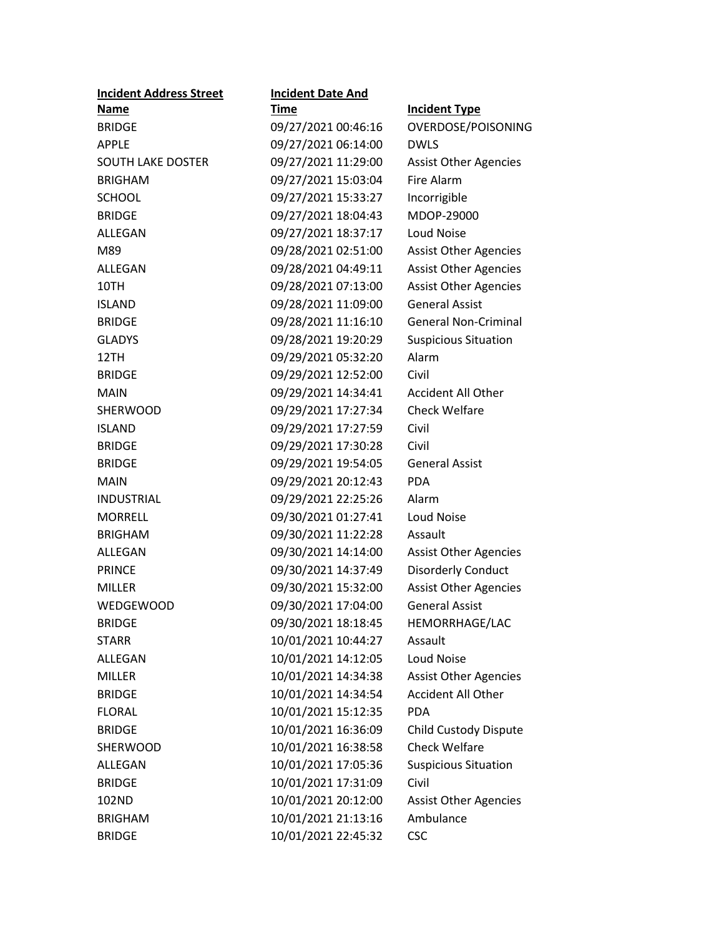| <b>Incident Address Street</b> | <b>Incident Date And</b> |                              |
|--------------------------------|--------------------------|------------------------------|
| <b>Name</b>                    | <u>Time</u>              | <b>Incident Type</b>         |
| <b>BRIDGE</b>                  | 09/27/2021 00:46:16      | OVERDOSE/POISONING           |
| <b>APPLE</b>                   | 09/27/2021 06:14:00      | <b>DWLS</b>                  |
| <b>SOUTH LAKE DOSTER</b>       | 09/27/2021 11:29:00      | <b>Assist Other Agencies</b> |
| <b>BRIGHAM</b>                 | 09/27/2021 15:03:04      | Fire Alarm                   |
| <b>SCHOOL</b>                  | 09/27/2021 15:33:27      | Incorrigible                 |
| <b>BRIDGE</b>                  | 09/27/2021 18:04:43      | MDOP-29000                   |
| ALLEGAN                        | 09/27/2021 18:37:17      | <b>Loud Noise</b>            |
| M89                            | 09/28/2021 02:51:00      | <b>Assist Other Agencies</b> |
| ALLEGAN                        | 09/28/2021 04:49:11      | <b>Assist Other Agencies</b> |
| 10TH                           | 09/28/2021 07:13:00      | <b>Assist Other Agencies</b> |
| <b>ISLAND</b>                  | 09/28/2021 11:09:00      | <b>General Assist</b>        |
| <b>BRIDGE</b>                  | 09/28/2021 11:16:10      | <b>General Non-Criminal</b>  |
| <b>GLADYS</b>                  | 09/28/2021 19:20:29      | <b>Suspicious Situation</b>  |
| 12TH                           | 09/29/2021 05:32:20      | Alarm                        |
| <b>BRIDGE</b>                  | 09/29/2021 12:52:00      | Civil                        |
| MAIN                           | 09/29/2021 14:34:41      | <b>Accident All Other</b>    |
| SHERWOOD                       | 09/29/2021 17:27:34      | <b>Check Welfare</b>         |
| <b>ISLAND</b>                  | 09/29/2021 17:27:59      | Civil                        |
| <b>BRIDGE</b>                  | 09/29/2021 17:30:28      | Civil                        |
| <b>BRIDGE</b>                  | 09/29/2021 19:54:05      | <b>General Assist</b>        |
| <b>MAIN</b>                    | 09/29/2021 20:12:43      | <b>PDA</b>                   |
| <b>INDUSTRIAL</b>              | 09/29/2021 22:25:26      | Alarm                        |
| <b>MORRELL</b>                 | 09/30/2021 01:27:41      | <b>Loud Noise</b>            |
| <b>BRIGHAM</b>                 | 09/30/2021 11:22:28      | Assault                      |
| ALLEGAN                        | 09/30/2021 14:14:00      | <b>Assist Other Agencies</b> |
| <b>PRINCE</b>                  | 09/30/2021 14:37:49      | <b>Disorderly Conduct</b>    |
| <b>MILLER</b>                  | 09/30/2021 15:32:00      | <b>Assist Other Agencies</b> |
| <b>WEDGEWOOD</b>               | 09/30/2021 17:04:00      | <b>General Assist</b>        |
| <b>BRIDGE</b>                  | 09/30/2021 18:18:45      | HEMORRHAGE/LAC               |
| <b>STARR</b>                   | 10/01/2021 10:44:27      | Assault                      |
| ALLEGAN                        | 10/01/2021 14:12:05      | <b>Loud Noise</b>            |
| <b>MILLER</b>                  | 10/01/2021 14:34:38      | <b>Assist Other Agencies</b> |
| <b>BRIDGE</b>                  | 10/01/2021 14:34:54      | <b>Accident All Other</b>    |
| <b>FLORAL</b>                  | 10/01/2021 15:12:35      | <b>PDA</b>                   |
| <b>BRIDGE</b>                  | 10/01/2021 16:36:09      | Child Custody Dispute        |
| <b>SHERWOOD</b>                | 10/01/2021 16:38:58      | <b>Check Welfare</b>         |
| <b>ALLEGAN</b>                 | 10/01/2021 17:05:36      | <b>Suspicious Situation</b>  |
| <b>BRIDGE</b>                  | 10/01/2021 17:31:09      | Civil                        |
| 102ND                          | 10/01/2021 20:12:00      | <b>Assist Other Agencies</b> |
| <b>BRIGHAM</b>                 | 10/01/2021 21:13:16      | Ambulance                    |
| <b>BRIDGE</b>                  | 10/01/2021 22:45:32      | <b>CSC</b>                   |